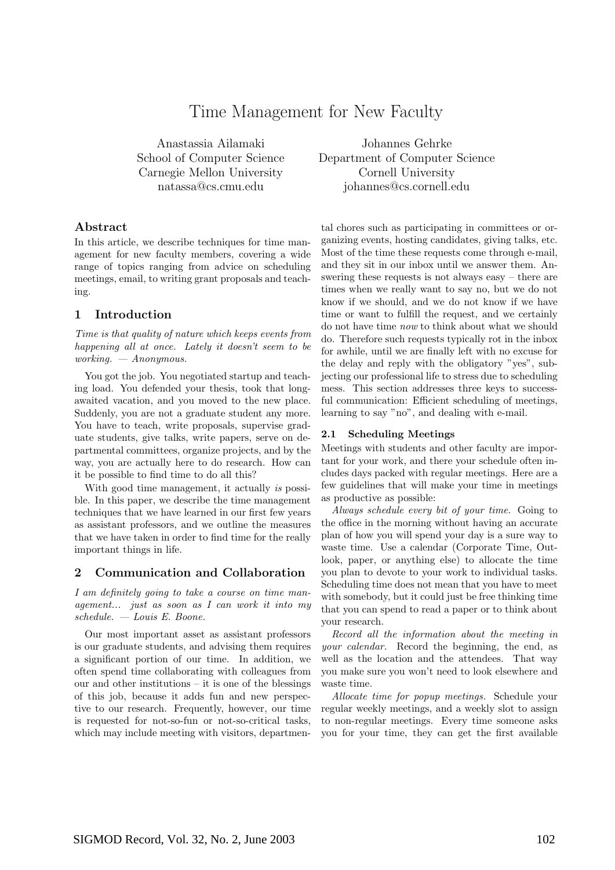# Time Management for New Faculty

Anastassia Ailamaki School of Computer Science Carnegie Mellon University natassa@cs.cmu.edu

# Abstract

In this article, we describe techniques for time management for new faculty members, covering a wide range of topics ranging from advice on scheduling meetings, email, to writing grant proposals and teaching.

# 1 Introduction

Time is that quality of nature which keeps events from happening all at once. Lately it doesn't seem to be  $workina. - Anonumous.$ 

You got the job. You negotiated startup and teaching load. You defended your thesis, took that longawaited vacation, and you moved to the new place. Suddenly, you are not a graduate student any more. You have to teach, write proposals, supervise graduate students, give talks, write papers, serve on departmental committees, organize projects, and by the way, you are actually here to do research. How can it be possible to find time to do all this?

With good time management, it actually is possible. In this paper, we describe the time management techniques that we have learned in our first few years as assistant professors, and we outline the measures that we have taken in order to find time for the really important things in life.

# 2 Communication and Collaboration

I am definitely going to take a course on time management... just as soon as I can work it into my  $s$ chedule.  $-$  Louis E. Boone.

Our most important asset as assistant professors is our graduate students, and advising them requires a significant portion of our time. In addition, we often spend time collaborating with colleagues from our and other institutions – it is one of the blessings of this job, because it adds fun and new perspective to our research. Frequently, however, our time is requested for not-so-fun or not-so-critical tasks, which may include meeting with visitors, departmen-

Johannes Gehrke Department of Computer Science Cornell University johannes@cs.cornell.edu

tal chores such as participating in committees or organizing events, hosting candidates, giving talks, etc. Most of the time these requests come through e-mail, and they sit in our inbox until we answer them. Answering these requests is not always easy – there are times when we really want to say no, but we do not know if we should, and we do not know if we have time or want to fulfill the request, and we certainly do not have time now to think about what we should do. Therefore such requests typically rot in the inbox for awhile, until we are finally left with no excuse for the delay and reply with the obligatory "yes", subjecting our professional life to stress due to scheduling mess. This section addresses three keys to successful communication: Efficient scheduling of meetings, learning to say "no", and dealing with e-mail.

### 2.1 Scheduling Meetings

Meetings with students and other faculty are important for your work, and there your schedule often includes days packed with regular meetings. Here are a few guidelines that will make your time in meetings as productive as possible:

Always schedule every bit of your time. Going to the office in the morning without having an accurate plan of how you will spend your day is a sure way to waste time. Use a calendar (Corporate Time, Outlook, paper, or anything else) to allocate the time you plan to devote to your work to individual tasks. Scheduling time does not mean that you have to meet with somebody, but it could just be free thinking time that you can spend to read a paper or to think about your research.

Record all the information about the meeting in your calendar. Record the beginning, the end, as well as the location and the attendees. That way you make sure you won't need to look elsewhere and waste time.

Allocate time for popup meetings. Schedule your regular weekly meetings, and a weekly slot to assign to non-regular meetings. Every time someone asks you for your time, they can get the first available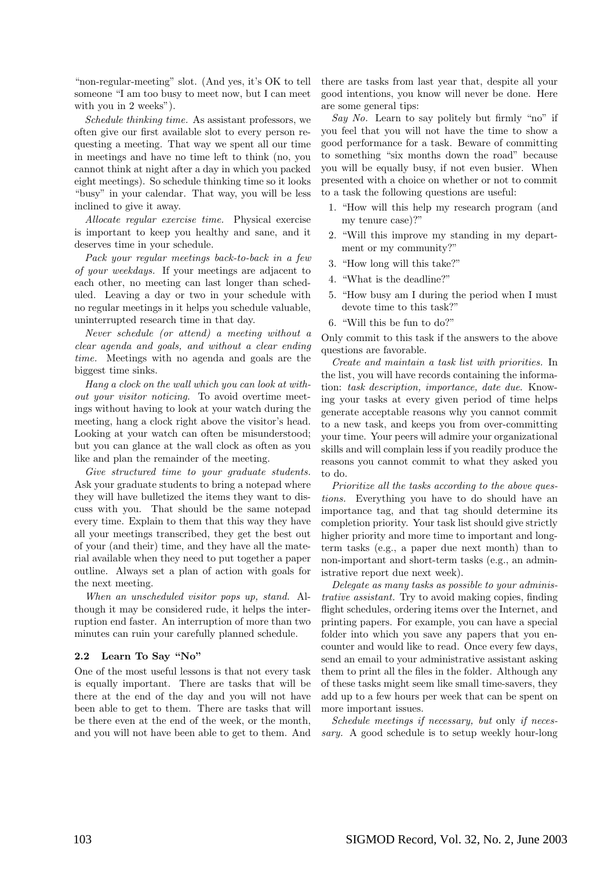"non-regular-meeting" slot. (And yes, it's OK to tell someone "I am too busy to meet now, but I can meet with you in 2 weeks").

Schedule thinking time. As assistant professors, we often give our first available slot to every person requesting a meeting. That way we spent all our time in meetings and have no time left to think (no, you cannot think at night after a day in which you packed eight meetings). So schedule thinking time so it looks "busy" in your calendar. That way, you will be less inclined to give it away.

Allocate regular exercise time. Physical exercise is important to keep you healthy and sane, and it deserves time in your schedule.

Pack your regular meetings back-to-back in a few of your weekdays. If your meetings are adjacent to each other, no meeting can last longer than scheduled. Leaving a day or two in your schedule with no regular meetings in it helps you schedule valuable, uninterrupted research time in that day.

Never schedule (or attend) a meeting without a clear agenda and goals, and without a clear ending time. Meetings with no agenda and goals are the biggest time sinks.

Hang a clock on the wall which you can look at without your visitor noticing. To avoid overtime meetings without having to look at your watch during the meeting, hang a clock right above the visitor's head. Looking at your watch can often be misunderstood; but you can glance at the wall clock as often as you like and plan the remainder of the meeting.

Give structured time to your graduate students. Ask your graduate students to bring a notepad where they will have bulletized the items they want to discuss with you. That should be the same notepad every time. Explain to them that this way they have all your meetings transcribed, they get the best out of your (and their) time, and they have all the material available when they need to put together a paper outline. Always set a plan of action with goals for the next meeting.

When an unscheduled visitor pops up, stand. Although it may be considered rude, it helps the interruption end faster. An interruption of more than two minutes can ruin your carefully planned schedule.

## 2.2 Learn To Say "No"

One of the most useful lessons is that not every task is equally important. There are tasks that will be there at the end of the day and you will not have been able to get to them. There are tasks that will be there even at the end of the week, or the month, and you will not have been able to get to them. And there are tasks from last year that, despite all your good intentions, you know will never be done. Here are some general tips:

Say No. Learn to say politely but firmly "no" if you feel that you will not have the time to show a good performance for a task. Beware of committing to something "six months down the road" because you will be equally busy, if not even busier. When presented with a choice on whether or not to commit to a task the following questions are useful:

- 1. "How will this help my research program (and my tenure case)?"
- 2. "Will this improve my standing in my department or my community?"
- 3. "How long will this take?"
- 4. "What is the deadline?"
- 5. "How busy am I during the period when I must devote time to this task?"
- 6. "Will this be fun to do?"

Only commit to this task if the answers to the above questions are favorable.

Create and maintain a task list with priorities. In the list, you will have records containing the information: task description, importance, date due. Knowing your tasks at every given period of time helps generate acceptable reasons why you cannot commit to a new task, and keeps you from over-committing your time. Your peers will admire your organizational skills and will complain less if you readily produce the reasons you cannot commit to what they asked you to do.

Prioritize all the tasks according to the above questions. Everything you have to do should have an importance tag, and that tag should determine its completion priority. Your task list should give strictly higher priority and more time to important and longterm tasks (e.g., a paper due next month) than to non-important and short-term tasks (e.g., an administrative report due next week).

Delegate as many tasks as possible to your administrative assistant. Try to avoid making copies, finding flight schedules, ordering items over the Internet, and printing papers. For example, you can have a special folder into which you save any papers that you encounter and would like to read. Once every few days, send an email to your administrative assistant asking them to print all the files in the folder. Although any of these tasks might seem like small time-savers, they add up to a few hours per week that can be spent on more important issues.

Schedule meetings if necessary, but only if necessary. A good schedule is to setup weekly hour-long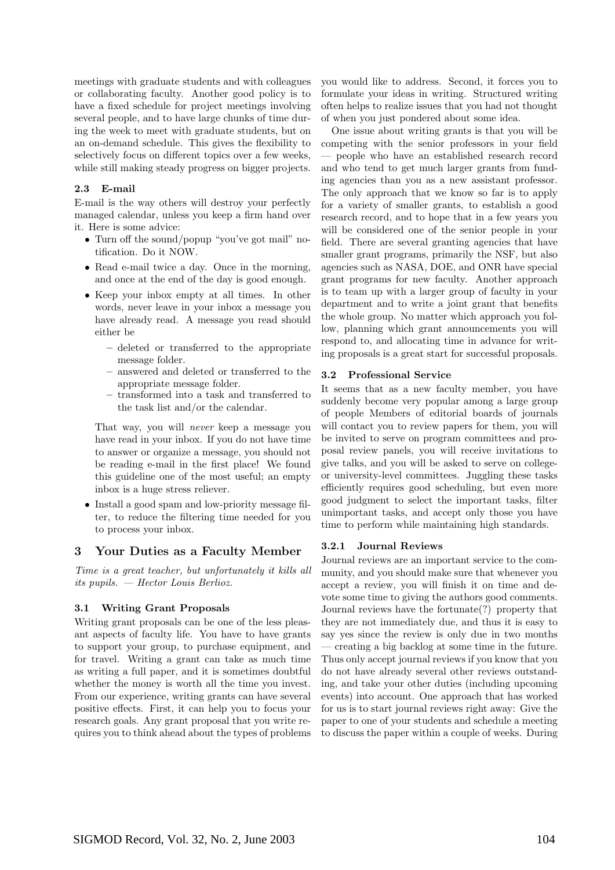meetings with graduate students and with colleagues or collaborating faculty. Another good policy is to have a fixed schedule for project meetings involving several people, and to have large chunks of time during the week to meet with graduate students, but on an on-demand schedule. This gives the flexibility to selectively focus on different topics over a few weeks, while still making steady progress on bigger projects.

### 2.3 E-mail

E-mail is the way others will destroy your perfectly managed calendar, unless you keep a firm hand over it. Here is some advice:

- Turn off the sound/popup "you've got mail" notification. Do it NOW.
- Read e-mail twice a day. Once in the morning, and once at the end of the day is good enough.
- Keep your inbox empty at all times. In other words, never leave in your inbox a message you have already read. A message you read should either be
	- deleted or transferred to the appropriate message folder.
	- answered and deleted or transferred to the appropriate message folder.
	- transformed into a task and transferred to the task list and/or the calendar.

That way, you will never keep a message you have read in your inbox. If you do not have time to answer or organize a message, you should not be reading e-mail in the first place! We found this guideline one of the most useful; an empty inbox is a huge stress reliever.

• Install a good spam and low-priority message filter, to reduce the filtering time needed for you to process your inbox.

# 3 Your Duties as a Faculty Member

Time is a great teacher, but unfortunately it kills all its pupils. — Hector Louis Berlioz.

#### 3.1 Writing Grant Proposals

Writing grant proposals can be one of the less pleasant aspects of faculty life. You have to have grants to support your group, to purchase equipment, and for travel. Writing a grant can take as much time as writing a full paper, and it is sometimes doubtful whether the money is worth all the time you invest. From our experience, writing grants can have several positive effects. First, it can help you to focus your research goals. Any grant proposal that you write requires you to think ahead about the types of problems

you would like to address. Second, it forces you to formulate your ideas in writing. Structured writing often helps to realize issues that you had not thought of when you just pondered about some idea.

One issue about writing grants is that you will be competing with the senior professors in your field — people who have an established research record and who tend to get much larger grants from funding agencies than you as a new assistant professor. The only approach that we know so far is to apply for a variety of smaller grants, to establish a good research record, and to hope that in a few years you will be considered one of the senior people in your field. There are several granting agencies that have smaller grant programs, primarily the NSF, but also agencies such as NASA, DOE, and ONR have special grant programs for new faculty. Another approach is to team up with a larger group of faculty in your department and to write a joint grant that benefits the whole group. No matter which approach you follow, planning which grant announcements you will respond to, and allocating time in advance for writing proposals is a great start for successful proposals.

#### 3.2 Professional Service

It seems that as a new faculty member, you have suddenly become very popular among a large group of people Members of editorial boards of journals will contact you to review papers for them, you will be invited to serve on program committees and proposal review panels, you will receive invitations to give talks, and you will be asked to serve on collegeor university-level committees. Juggling these tasks efficiently requires good scheduling, but even more good judgment to select the important tasks, filter unimportant tasks, and accept only those you have time to perform while maintaining high standards.

#### 3.2.1 Journal Reviews

Journal reviews are an important service to the community, and you should make sure that whenever you accept a review, you will finish it on time and devote some time to giving the authors good comments. Journal reviews have the fortunate(?) property that they are not immediately due, and thus it is easy to say yes since the review is only due in two months — creating a big backlog at some time in the future. Thus only accept journal reviews if you know that you do not have already several other reviews outstanding, and take your other duties (including upcoming events) into account. One approach that has worked for us is to start journal reviews right away: Give the paper to one of your students and schedule a meeting to discuss the paper within a couple of weeks. During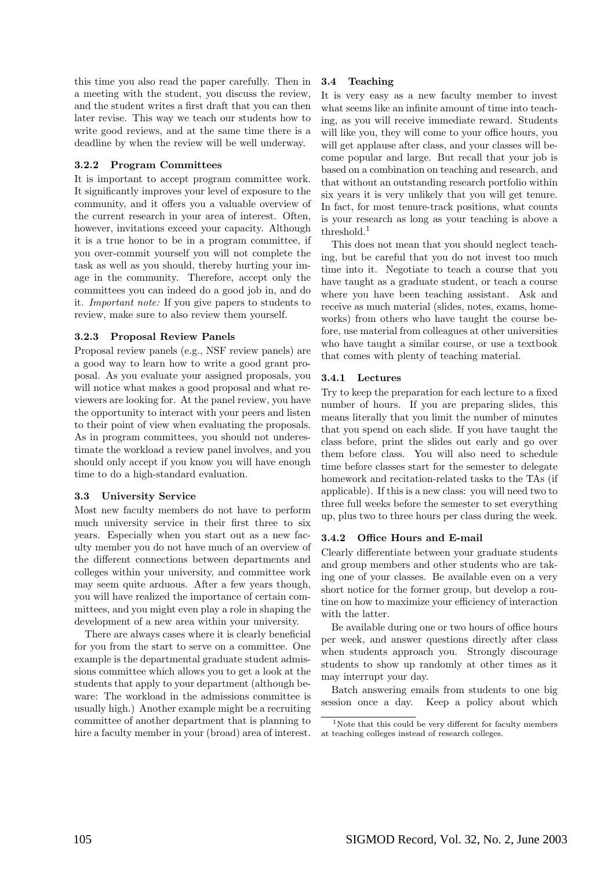this time you also read the paper carefully. Then in a meeting with the student, you discuss the review, and the student writes a first draft that you can then later revise. This way we teach our students how to write good reviews, and at the same time there is a deadline by when the review will be well underway.

## 3.2.2 Program Committees

It is important to accept program committee work. It significantly improves your level of exposure to the community, and it offers you a valuable overview of the current research in your area of interest. Often, however, invitations exceed your capacity. Although it is a true honor to be in a program committee, if you over-commit yourself you will not complete the task as well as you should, thereby hurting your image in the community. Therefore, accept only the committees you can indeed do a good job in, and do it. Important note: If you give papers to students to review, make sure to also review them yourself.

# 3.2.3 Proposal Review Panels

Proposal review panels (e.g., NSF review panels) are a good way to learn how to write a good grant proposal. As you evaluate your assigned proposals, you will notice what makes a good proposal and what reviewers are looking for. At the panel review, you have the opportunity to interact with your peers and listen to their point of view when evaluating the proposals. As in program committees, you should not underestimate the workload a review panel involves, and you should only accept if you know you will have enough time to do a high-standard evaluation.

## 3.3 University Service

Most new faculty members do not have to perform much university service in their first three to six years. Especially when you start out as a new faculty member you do not have much of an overview of the different connections between departments and colleges within your university, and committee work may seem quite arduous. After a few years though, you will have realized the importance of certain committees, and you might even play a role in shaping the development of a new area within your university.

There are always cases where it is clearly beneficial for you from the start to serve on a committee. One example is the departmental graduate student admissions committee which allows you to get a look at the students that apply to your department (although beware: The workload in the admissions committee is usually high.) Another example might be a recruiting committee of another department that is planning to hire a faculty member in your (broad) area of interest.

# 3.4 Teaching

It is very easy as a new faculty member to invest what seems like an infinite amount of time into teaching, as you will receive immediate reward. Students will like you, they will come to your office hours, you will get applause after class, and your classes will become popular and large. But recall that your job is based on a combination on teaching and research, and that without an outstanding research portfolio within six years it is very unlikely that you will get tenure. In fact, for most tenure-track positions, what counts is your research as long as your teaching is above a threshold.<sup>1</sup>

This does not mean that you should neglect teaching, but be careful that you do not invest too much time into it. Negotiate to teach a course that you have taught as a graduate student, or teach a course where you have been teaching assistant. Ask and receive as much material (slides, notes, exams, homeworks) from others who have taught the course before, use material from colleagues at other universities who have taught a similar course, or use a textbook that comes with plenty of teaching material.

# 3.4.1 Lectures

Try to keep the preparation for each lecture to a fixed number of hours. If you are preparing slides, this means literally that you limit the number of minutes that you spend on each slide. If you have taught the class before, print the slides out early and go over them before class. You will also need to schedule time before classes start for the semester to delegate homework and recitation-related tasks to the TAs (if applicable). If this is a new class: you will need two to three full weeks before the semester to set everything up, plus two to three hours per class during the week.

# 3.4.2 Office Hours and E-mail

Clearly differentiate between your graduate students and group members and other students who are taking one of your classes. Be available even on a very short notice for the former group, but develop a routine on how to maximize your efficiency of interaction with the latter.

Be available during one or two hours of office hours per week, and answer questions directly after class when students approach you. Strongly discourage students to show up randomly at other times as it may interrupt your day.

Batch answering emails from students to one big session once a day. Keep a policy about which

<sup>&</sup>lt;sup>1</sup>Note that this could be very different for faculty members at teaching colleges instead of research colleges.